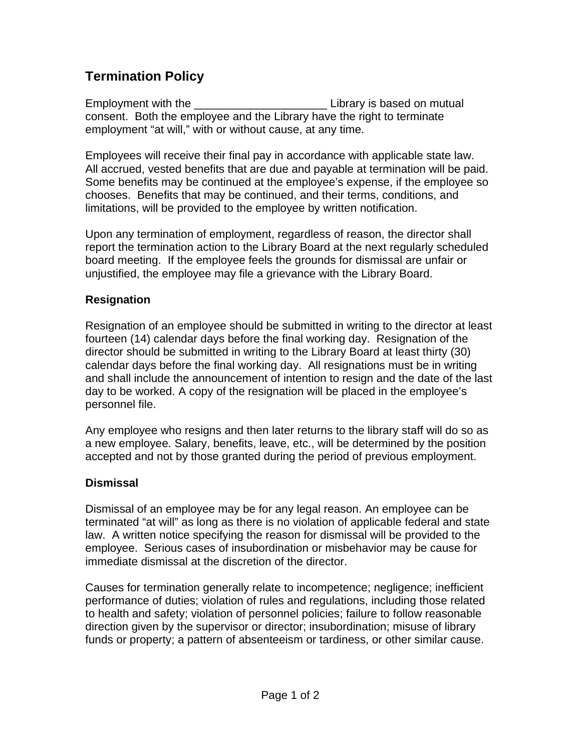# **Termination Policy**

Employment with the the contract the contract the Library is based on mutual consent. Both the employee and the Library have the right to terminate employment "at will," with or without cause, at any time.

Employees will receive their final pay in accordance with applicable state law. All accrued, vested benefits that are due and payable at termination will be paid. Some benefits may be continued at the employee's expense, if the employee so chooses. Benefits that may be continued, and their terms, conditions, and limitations, will be provided to the employee by written notification.

Upon any termination of employment, regardless of reason, the director shall report the termination action to the Library Board at the next regularly scheduled board meeting. If the employee feels the grounds for dismissal are unfair or unjustified, the employee may file a grievance with the Library Board.

## **Resignation**

Resignation of an employee should be submitted in writing to the director at least fourteen (14) calendar days before the final working day. Resignation of the director should be submitted in writing to the Library Board at least thirty (30) calendar days before the final working day. All resignations must be in writing and shall include the announcement of intention to resign and the date of the last day to be worked. A copy of the resignation will be placed in the employee's personnel file.

Any employee who resigns and then later returns to the library staff will do so as a new employee. Salary, benefits, leave, etc., will be determined by the position accepted and not by those granted during the period of previous employment.

## **Dismissal**

Dismissal of an employee may be for any legal reason. An employee can be terminated "at will" as long as there is no violation of applicable federal and state law. A written notice specifying the reason for dismissal will be provided to the employee. Serious cases of insubordination or misbehavior may be cause for immediate dismissal at the discretion of the director.

Causes for termination generally relate to incompetence; negligence; inefficient performance of duties; violation of rules and regulations, including those related to health and safety; violation of personnel policies; failure to follow reasonable direction given by the supervisor or director; insubordination; misuse of library funds or property; a pattern of absenteeism or tardiness, or other similar cause.